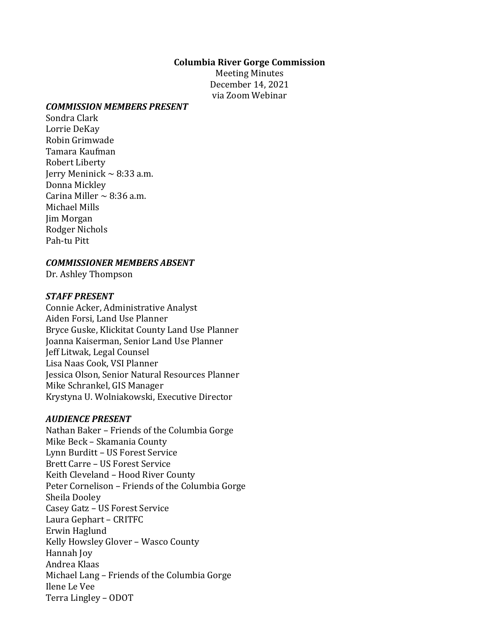#### **Columbia River Gorge Commission**

Meeting Minutes December 14, 2021 via Zoom Webinar

#### *COMMISSION MEMBERS PRESENT*

Sondra Clark Lorrie DeKay Robin Grimwade Tamara Kaufman Robert Liberty Jerry Meninick  $\sim$  8:33 a.m. Donna Mickley Carina Miller  $\sim$  8:36 a.m. Michael Mills Jim Morgan Rodger Nichols Pah-tu Pitt

#### *COMMISSIONER MEMBERS ABSENT*

Dr. Ashley Thompson

#### *STAFF PRESENT*

Connie Acker, Administrative Analyst Aiden Forsi, Land Use Planner Bryce Guske, Klickitat County Land Use Planner Joanna Kaiserman, Senior Land Use Planner Jeff Litwak, Legal Counsel Lisa Naas Cook, VSI Planner Jessica Olson, Senior Natural Resources Planner Mike Schrankel, GIS Manager Krystyna U. Wolniakowski, Executive Director

#### *AUDIENCE PRESENT*

Nathan Baker – Friends of the Columbia Gorge Mike Beck – Skamania County Lynn Burditt – US Forest Service Brett Carre – US Forest Service Keith Cleveland – Hood River County Peter Cornelison – Friends of the Columbia Gorge Sheila Dooley Casey Gatz – US Forest Service Laura Gephart – CRITFC Erwin Haglund Kelly Howsley Glover – Wasco County Hannah Joy Andrea Klaas Michael Lang – Friends of the Columbia Gorge Ilene Le Vee Terra Lingley – ODOT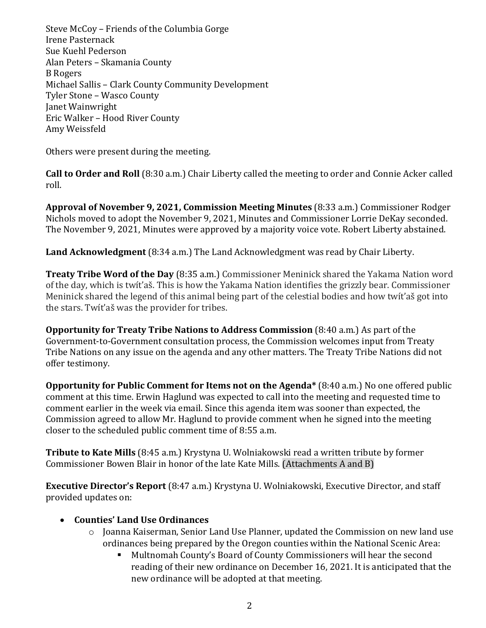Steve McCoy – Friends of the Columbia Gorge Irene Pasternack Sue Kuehl Pederson Alan Peters – Skamania County B Rogers Michael Sallis – Clark County Community Development Tyler Stone – Wasco County Janet Wainwright Eric Walker – Hood River County Amy Weissfeld

Others were present during the meeting.

**Call to Order and Roll** (8:30 a.m.) Chair Liberty called the meeting to order and Connie Acker called roll.

**Approval of November 9, 2021, Commission Meeting Minutes** (8:33 a.m.) Commissioner Rodger Nichols moved to adopt the November 9, 2021, Minutes and Commissioner Lorrie DeKay seconded. The November 9, 2021, Minutes were approved by a majority voice vote. Robert Liberty abstained.

**Land Acknowledgment** (8:34 a.m.) The Land Acknowledgment was read by Chair Liberty.

**Treaty Tribe Word of the Day** (8:35 a.m.) Commissioner Meninick shared the Yakama Nation word of the day, which is twít'aš. This is how the Yakama Nation identifies the grizzly bear. Commissioner Meninick shared the legend of this animal being part of the celestial bodies and how twít'aš got into the stars. Twít'aš was the provider for tribes.

**Opportunity for Treaty Tribe Nations to Address Commission** (8:40 a.m.) As part of the Government-to-Government consultation process, the Commission welcomes input from Treaty Tribe Nations on any issue on the agenda and any other matters. The Treaty Tribe Nations did not offer testimony.

**Opportunity for Public Comment for Items not on the Agenda\*** (8:40 a.m.) No one offered public comment at this time. Erwin Haglund was expected to call into the meeting and requested time to comment earlier in the week via email. Since this agenda item was sooner than expected, the Commission agreed to allow Mr. Haglund to provide comment when he signed into the meeting closer to the scheduled public comment time of 8:55 a.m.

**Tribute to Kate Mills** (8:45 a.m.) Krystyna U. Wolniakowski read a written tribute by former Commissioner Bowen Blair in honor of the late Kate Mills. (Attachments A and B)

**Executive Director's Report** (8:47 a.m.) Krystyna U. Wolniakowski, Executive Director, and staff provided updates on:

# • **Counties' Land Use Ordinances**

- o Joanna Kaiserman, Senior Land Use Planner, updated the Commission on new land use ordinances being prepared by the Oregon counties within the National Scenic Area:
	- Multnomah County's Board of County Commissioners will hear the second reading of their new ordinance on December 16, 2021. It is anticipated that the new ordinance will be adopted at that meeting.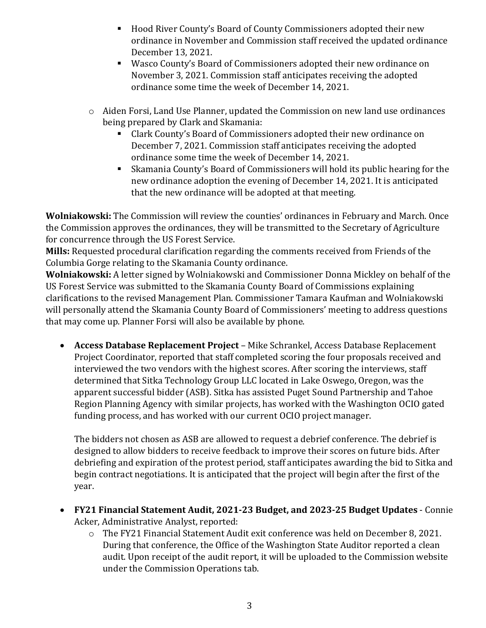- Hood River County's Board of County Commissioners adopted their new ordinance in November and Commission staff received the updated ordinance December 13, 2021.
- Wasco County's Board of Commissioners adopted their new ordinance on November 3, 2021. Commission staff anticipates receiving the adopted ordinance some time the week of December 14, 2021.
- $\circ$  Aiden Forsi, Land Use Planner, updated the Commission on new land use ordinances being prepared by Clark and Skamania:
	- Clark County's Board of Commissioners adopted their new ordinance on December 7, 2021. Commission staff anticipates receiving the adopted ordinance some time the week of December 14, 2021.
	- Skamania County's Board of Commissioners will hold its public hearing for the new ordinance adoption the evening of December 14, 2021. It is anticipated that the new ordinance will be adopted at that meeting.

**Wolniakowski:** The Commission will review the counties' ordinances in February and March. Once the Commission approves the ordinances, they will be transmitted to the Secretary of Agriculture for concurrence through the US Forest Service.

**Mills:** Requested procedural clarification regarding the comments received from Friends of the Columbia Gorge relating to the Skamania County ordinance.

**Wolniakowski:** A letter signed by Wolniakowski and Commissioner Donna Mickley on behalf of the US Forest Service was submitted to the Skamania County Board of Commissions explaining clarifications to the revised Management Plan. Commissioner Tamara Kaufman and Wolniakowski will personally attend the Skamania County Board of Commissioners' meeting to address questions that may come up. Planner Forsi will also be available by phone.

• **Access Database Replacement Project** – Mike Schrankel, Access Database Replacement Project Coordinator, reported that staff completed scoring the four proposals received and interviewed the two vendors with the highest scores. After scoring the interviews, staff determined that Sitka Technology Group LLC located in Lake Oswego, Oregon, was the apparent successful bidder (ASB). Sitka has assisted Puget Sound Partnership and Tahoe Region Planning Agency with similar projects, has worked with the Washington OCIO gated funding process, and has worked with our current OCIO project manager.

The bidders not chosen as ASB are allowed to request a debrief conference. The debrief is designed to allow bidders to receive feedback to improve their scores on future bids. After debriefing and expiration of the protest period, staff anticipates awarding the bid to Sitka and begin contract negotiations. It is anticipated that the project will begin after the first of the year.

- **FY21 Financial Statement Audit, 2021-23 Budget, and 2023-25 Budget Updates** Connie Acker, Administrative Analyst, reported:
	- o The FY21 Financial Statement Audit exit conference was held on December 8, 2021. During that conference, the Office of the Washington State Auditor reported a clean audit. Upon receipt of the audit report, it will be uploaded to the Commission website under the Commission Operations tab.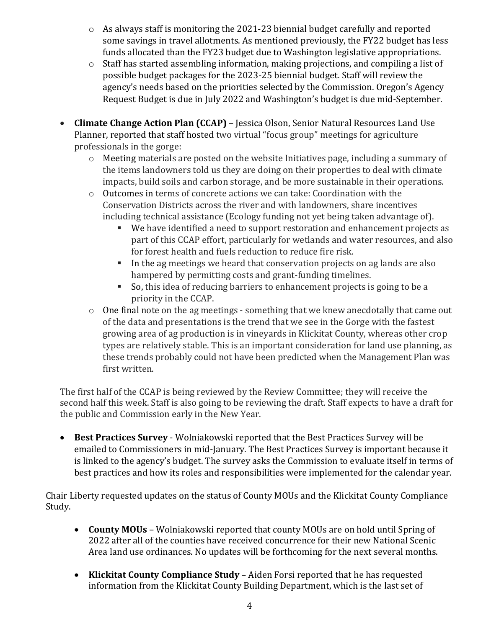- o As always staff is monitoring the 2021-23 biennial budget carefully and reported some savings in travel allotments. As mentioned previously, the FY22 budget has less funds allocated than the FY23 budget due to Washington legislative appropriations.
- o Staff has started assembling information, making projections, and compiling a list of possible budget packages for the 2023-25 biennial budget. Staff will review the agency's needs based on the priorities selected by the Commission. Oregon's Agency Request Budget is due in July 2022 and Washington's budget is due mid-September.
- **Climate Change Action Plan (CCAP)** Jessica Olson, Senior Natural Resources Land Use Planner, reported that staff hosted two virtual "focus group" meetings for agriculture professionals in the gorge:
	- o Meeting materials are posted on the website Initiatives page, including a summary of the items landowners told us they are doing on their properties to deal with climate impacts, build soils and carbon storage, and be more sustainable in their operations.
	- o Outcomes in terms of concrete actions we can take: Coordination with the Conservation Districts across the river and with landowners, share incentives including technical assistance (Ecology funding not yet being taken advantage of).
		- We have identified a need to support restoration and enhancement projects as part of this CCAP effort, particularly for wetlands and water resources, and also for forest health and fuels reduction to reduce fire risk.
		- In the ag meetings we heard that conservation projects on ag lands are also hampered by permitting costs and grant-funding timelines.
		- So, this idea of reducing barriers to enhancement projects is going to be a priority in the CCAP.
	- o One final note on the ag meetings something that we knew anecdotally that came out of the data and presentations is the trend that we see in the Gorge with the fastest growing area of ag production is in vineyards in Klickitat County, whereas other crop types are relatively stable. This is an important consideration for land use planning, as these trends probably could not have been predicted when the Management Plan was first written.

The first half of the CCAP is being reviewed by the Review Committee; they will receive the second half this week. Staff is also going to be reviewing the draft. Staff expects to have a draft for the public and Commission early in the New Year.

• **Best Practices Survey** - Wolniakowski reported that the Best Practices Survey will be emailed to Commissioners in mid-January. The Best Practices Survey is important because it is linked to the agency's budget. The survey asks the Commission to evaluate itself in terms of best practices and how its roles and responsibilities were implemented for the calendar year.

Chair Liberty requested updates on the status of County MOUs and the Klickitat County Compliance Study.

- **County MOUs** Wolniakowski reported that county MOUs are on hold until Spring of 2022 after all of the counties have received concurrence for their new National Scenic Area land use ordinances. No updates will be forthcoming for the next several months.
- **Klickitat County Compliance Study** Aiden Forsi reported that he has requested information from the Klickitat County Building Department, which is the last set of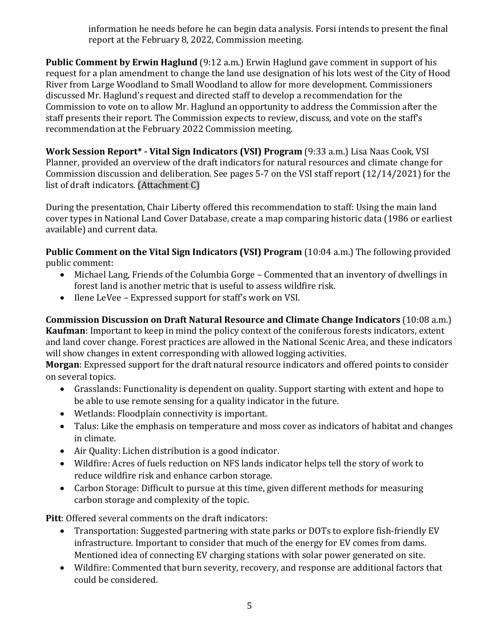information he needs before he can begin data analysis. Forsi intends to present the final report at the February 8, 2022, Commission meeting.

**Public Comment by Erwin Haglund** (9:12 a.m.) Erwin Haglund gave comment in support of his request for a plan amendment to change the land use designation of his lots west of the City of Hood River from Large Woodland to Small Woodland to allow for more development. Commissioners discussed Mr. Haglund's request and directed staff to develop a recommendation for the Commission to vote on to allow Mr. Haglund an opportunity to address the Commission after the staff presents their report. The Commission expects to review, discuss, and vote on the staff's recommendation at the February 2022 Commission meeting.

**Work Session Report\* - Vital Sign Indicators (VSI) Program** (9:33 a.m.) Lisa Naas Cook, VSI Planner, provided an overview of the draft indicators for natural resources and climate change for Commission discussion and deliberation. See pages 5-7 on the VSI staff report (12/14/2021) for the list of draft indicators. (Attachment C)

During the presentation, Chair Liberty offered this recommendation to staff: Using the main land cover types in National Land Cover Database, create a map comparing historic data (1986 or earliest available) and current data.

**Public Comment on the Vital Sign Indicators (VSI) Program** (10:04 a.m.) The following provided public comment:

- Michael Lang, Friends of the Columbia Gorge Commented that an inventory of dwellings in forest land is another metric that is useful to assess wildfire risk.
- Ilene LeVee Expressed support for staff's work on VSI.

**Commission Discussion on Draft Natural Resource and Climate Change Indicators** (10:08 a.m.) **Kaufman**: Important to keep in mind the policy context of the coniferous forests indicators, extent and land cover change. Forest practices are allowed in the National Scenic Area, and these indicators will show changes in extent corresponding with allowed logging activities.

**Morgan**: Expressed support for the draft natural resource indicators and offered points to consider on several topics.

- Grasslands: Functionality is dependent on quality. Support starting with extent and hope to be able to use remote sensing for a quality indicator in the future.
- Wetlands: Floodplain connectivity is important.
- Talus: Like the emphasis on temperature and moss cover as indicators of habitat and changes in climate.
- Air Quality: Lichen distribution is a good indicator.
- Wildfire: Acres of fuels reduction on NFS lands indicator helps tell the story of work to reduce wildfire risk and enhance carbon storage.
- Carbon Storage: Difficult to pursue at this time, given different methods for measuring carbon storage and complexity of the topic.

**Pitt**: Offered several comments on the draft indicators:

- Transportation: Suggested partnering with state parks or DOTs to explore fish-friendly EV infrastructure. Important to consider that much of the energy for EV comes from dams. Mentioned idea of connecting EV charging stations with solar power generated on site.
- Wildfire: Commented that burn severity, recovery, and response are additional factors that could be considered.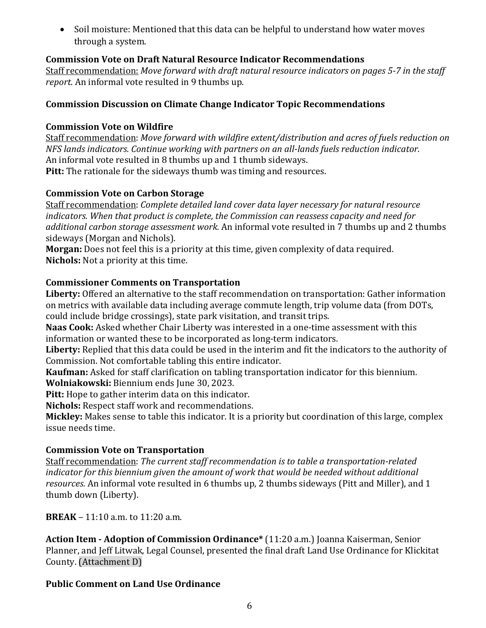• Soil moisture: Mentioned that this data can be helpful to understand how water moves through a system.

# **Commission Vote on Draft Natural Resource Indicator Recommendations**

Staff recommendation: *Move forward with draft natural resource indicators on pages 5-7 in the staff report.* An informal vote resulted in 9 thumbs up.

## **Commission Discussion on Climate Change Indicator Topic Recommendations**

### **Commission Vote on Wildfire**

Staff recommendation: *Move forward with wildfire extent/distribution and acres of fuels reduction on NFS lands indicators. Continue working with partners on an all-lands fuels reduction indicator.* An informal vote resulted in 8 thumbs up and 1 thumb sideways. **Pitt:** The rationale for the sideways thumb was timing and resources.

## **Commission Vote on Carbon Storage**

Staff recommendation: *Complete detailed land cover data layer necessary for natural resource indicators. When that product is complete, the Commission can reassess capacity and need for additional carbon storage assessment work.* An informal vote resulted in 7 thumbs up and 2 thumbs sideways (Morgan and Nichols).

**Morgan:** Does not feel this is a priority at this time, given complexity of data required. **Nichols:** Not a priority at this time.

## **Commissioner Comments on Transportation**

**Liberty:** Offered an alternative to the staff recommendation on transportation: Gather information on metrics with available data including average commute length, trip volume data (from DOTs, could include bridge crossings), state park visitation, and transit trips.

**Naas Cook:** Asked whether Chair Liberty was interested in a one-time assessment with this information or wanted these to be incorporated as long-term indicators.

**Liberty:** Replied that this data could be used in the interim and fit the indicators to the authority of Commission. Not comfortable tabling this entire indicator.

**Kaufman:** Asked for staff clarification on tabling transportation indicator for this biennium.

**Wolniakowski:** Biennium ends June 30, 2023.

**Pitt:** Hope to gather interim data on this indicator.

**Nichols:** Respect staff work and recommendations.

**Mickley:** Makes sense to table this indicator. It is a priority but coordination of this large, complex issue needs time.

### **Commission Vote on Transportation**

Staff recommendation: *The current staff recommendation is to table a transportation-related indicator for this biennium given the amount of work that would be needed without additional resources.* An informal vote resulted in 6 thumbs up, 2 thumbs sideways (Pitt and Miller), and 1 thumb down (Liberty).

**BREAK** – 11:10 a.m. to 11:20 a.m.

**Action Item - Adoption of Commission Ordinance\*** (11:20 a.m.) Joanna Kaiserman, Senior Planner, and Jeff Litwak, Legal Counsel, presented the final draft Land Use Ordinance for Klickitat County. (Attachment D)

### **Public Comment on Land Use Ordinance**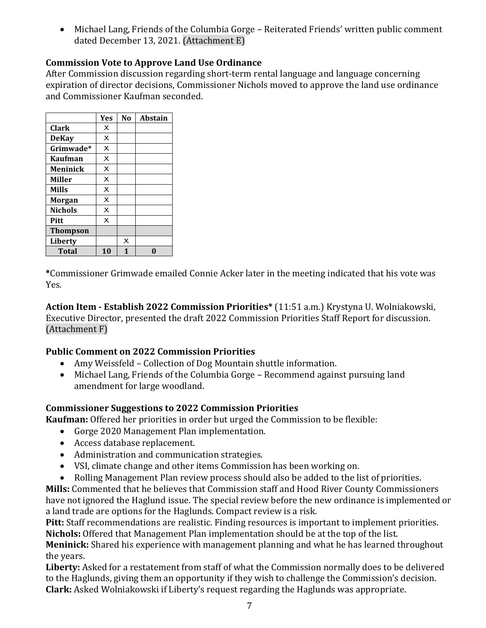• Michael Lang, Friends of the Columbia Gorge – Reiterated Friends' written public comment dated December 13, 2021. (Attachment E)

# **Commission Vote to Approve Land Use Ordinance**

After Commission discussion regarding short-term rental language and language concerning expiration of director decisions, Commissioner Nichols moved to approve the land use ordinance and Commissioner Kaufman seconded.

|                 | Yes                       | No                      | Abstain |
|-----------------|---------------------------|-------------------------|---------|
| <b>Clark</b>    | $\times$                  |                         |         |
| <b>DeKay</b>    | $\overline{\mathsf{x}}$   |                         |         |
| Grimwade*       | $\times$                  |                         |         |
| <b>Kaufman</b>  | $\overline{\mathsf{x}}$   |                         |         |
| <b>Meninick</b> | $\boldsymbol{\mathsf{x}}$ |                         |         |
| <b>Miller</b>   | $\boldsymbol{\mathsf{x}}$ |                         |         |
| <b>Mills</b>    | $\overline{\mathsf{x}}$   |                         |         |
| Morgan          | $\times$                  |                         |         |
| <b>Nichols</b>  | $\overline{\mathsf{x}}$   |                         |         |
| Pitt            | $\boldsymbol{\mathsf{x}}$ |                         |         |
| <b>Thompson</b> |                           |                         |         |
| <b>Liberty</b>  |                           | $\overline{\mathsf{x}}$ |         |
| <b>Total</b>    | 10                        | 1                       |         |

**\***Commissioner Grimwade emailed Connie Acker later in the meeting indicated that his vote was Yes.

**Action Item - Establish 2022 Commission Priorities\*** (11:51 a.m.) Krystyna U. Wolniakowski, Executive Director, presented the draft 2022 Commission Priorities Staff Report for discussion. (Attachment F)

# **Public Comment on 2022 Commission Priorities**

- Amy Weissfeld Collection of Dog Mountain shuttle information.
- Michael Lang, Friends of the Columbia Gorge Recommend against pursuing land amendment for large woodland.

# **Commissioner Suggestions to 2022 Commission Priorities**

**Kaufman:** Offered her priorities in order but urged the Commission to be flexible:

- Gorge 2020 Management Plan implementation.
- Access database replacement.
- Administration and communication strategies.
- VSI, climate change and other items Commission has been working on.
- Rolling Management Plan review process should also be added to the list of priorities.

**Mills:** Commented that he believes that Commission staff and Hood River County Commissioners have not ignored the Haglund issue. The special review before the new ordinance is implemented or a land trade are options for the Haglunds. Compact review is a risk.

**Pitt:** Staff recommendations are realistic. Finding resources is important to implement priorities. **Nichols:** Offered that Management Plan implementation should be at the top of the list.

**Meninick:** Shared his experience with management planning and what he has learned throughout the years.

**Liberty:** Asked for a restatement from staff of what the Commission normally does to be delivered to the Haglunds, giving them an opportunity if they wish to challenge the Commission's decision. **Clark:** Asked Wolniakowski if Liberty's request regarding the Haglunds was appropriate.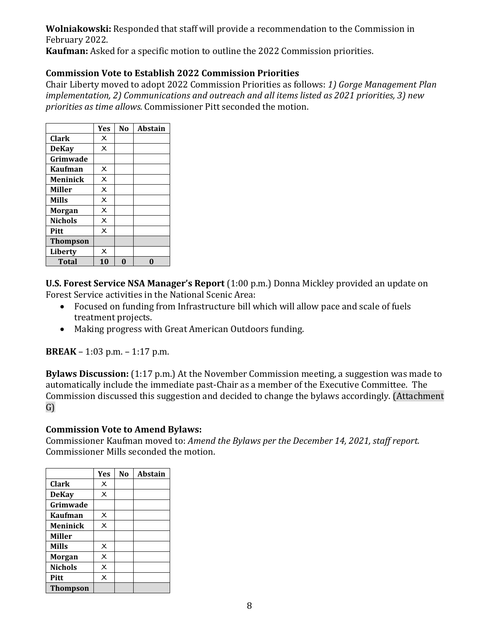**Wolniakowski:** Responded that staff will provide a recommendation to the Commission in February 2022.

**Kaufman:** Asked for a specific motion to outline the 2022 Commission priorities.

# **Commission Vote to Establish 2022 Commission Priorities**

Chair Liberty moved to adopt 2022 Commission Priorities as follows: *1) Gorge Management Plan implementation, 2) Communications and outreach and all items listed as 2021 priorities, 3) new priorities as time allows.* Commissioner Pitt seconded the motion.

|                 | <b>Yes</b>                | No | <b>Abstain</b> |
|-----------------|---------------------------|----|----------------|
| <b>Clark</b>    | $\times$                  |    |                |
| <b>DeKay</b>    | $\times$                  |    |                |
| Grimwade        |                           |    |                |
| Kaufman         | $\boldsymbol{\mathsf{x}}$ |    |                |
| <b>Meninick</b> | $\times$                  |    |                |
| Miller          | $\times$                  |    |                |
| <b>Mills</b>    | $\overline{\mathsf{x}}$   |    |                |
| <b>Morgan</b>   | $\times$                  |    |                |
| <b>Nichols</b>  | $\times$                  |    |                |
| Pitt            | $\boldsymbol{\mathsf{x}}$ |    |                |
| <b>Thompson</b> |                           |    |                |
| Liberty         | $\times$                  |    |                |
| <b>Total</b>    | 10                        | በ  |                |

**U.S. Forest Service NSA Manager's Report** (1:00 p.m.) Donna Mickley provided an update on Forest Service activities in the National Scenic Area:

- Focused on funding from Infrastructure bill which will allow pace and scale of fuels treatment projects.
- Making progress with Great American Outdoors funding.

**BREAK** – 1:03 p.m. – 1:17 p.m.

**Bylaws Discussion:** (1:17 p.m.) At the November Commission meeting, a suggestion was made to automatically include the immediate past-Chair as a member of the Executive Committee. The Commission discussed this suggestion and decided to change the bylaws accordingly. (Attachment G)

### **Commission Vote to Amend Bylaws:**

Commissioner Kaufman moved to: *Amend the Bylaws per the December 14, 2021, staff report.* Commissioner Mills seconded the motion.

|                 | <b>Yes</b>                | No | <b>Abstain</b> |
|-----------------|---------------------------|----|----------------|
| <b>Clark</b>    | $\times$                  |    |                |
| <b>DeKay</b>    | $\overline{\mathsf{x}}$   |    |                |
| Grimwade        |                           |    |                |
| <b>Kaufman</b>  | $\times$                  |    |                |
| <b>Meninick</b> | $\times$                  |    |                |
| Miller          |                           |    |                |
| <b>Mills</b>    | $\boldsymbol{\mathsf{x}}$ |    |                |
| <b>Morgan</b>   | $\boldsymbol{\mathsf{x}}$ |    |                |
| <b>Nichols</b>  | $\times$                  |    |                |
| Pitt            | $\times$                  |    |                |
| <b>Thompson</b> |                           |    |                |